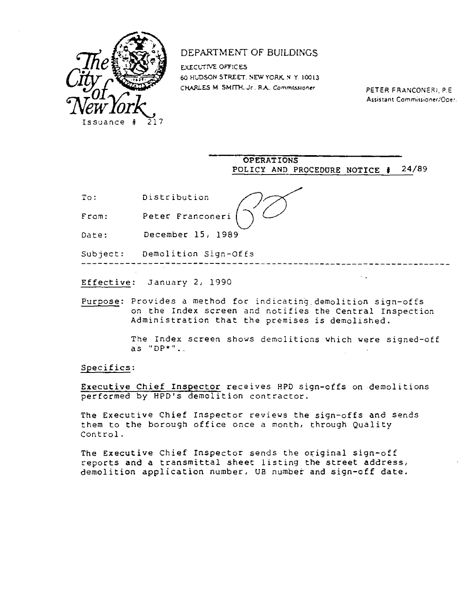

## DEPARTMENT OF BUILD[NGS

EXECUTIVE OFFICES 60 HUDSON STREET NEW YORK N. Y. 10013 CHARLES M. SMITH. Jr. RA. Commissioner PETER FRANCONERI, P.E.

Assistant Commissioner/Operation

OPERATIONS POLICY AND PROCEDURE NOTICE # 24/89

--------------

 $\sim 10$ 

To: Distribution

From: Peter Franconeri

Date: December 15, 1989

Subject: Demolition Sign-Offs

Effective: January 2, 1990

Purpose: Provides a method for indicating demolition sign-offs on the Index screen and notifies the Central Inspection Administration that the premises is demolished.

> The Index screen shows demolitions which were signed-off as "DP\*".,

Specifics:

Executive Chief Inspector receives RPD sign-offs on demolitions performed by HPD's demolition contractor.

The Executive Chief Inspector reviews the sign-offs and sends them to the borough office once a month, through Quality Control.

The Executive Chief Inspector sends the original sign-off reports and a transmittal sheet listing the street address, demolition application number, US number and sign-off date.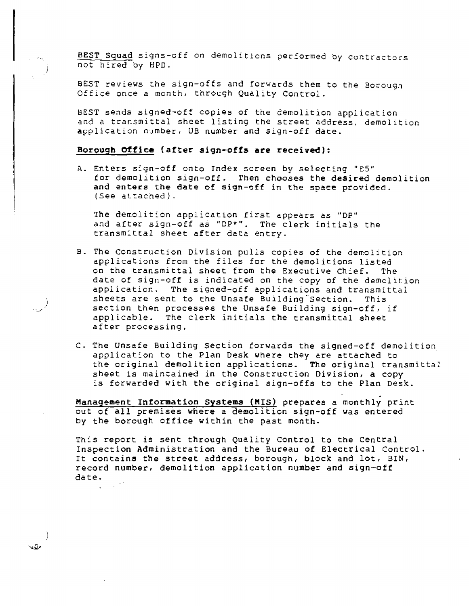BEST Squad signs-off on demolitions performed by contractors not hired by HPD.

BEST reviews the sign-offs and forwards them to the Borough Office once a month, through Quality Control.

BEST sends signed-off copies of the demolition application and a transmittal sheet listing the street address, demolition application number, UB number and sign-off date.

## **Borough Office(after sign-offs axe received):**

A. Enters sign-off onto Index screen by selecting "E5" for demolition sign-off. Then chooses the desired demolition and enters the date of sign-off in the space provided. (See attached).

The demolition application first appears as "DP" and after sign-off as "DP\*". The clerk initials the transmittal sheet after data entry.

- B. The Construction Division pulls copies of the demolition applications from the files for the demolitions listed on the transmittal sheet from the Executive Chief. The date of sign-off is indicated on the copy of the demolition application. The signed-off applications and transmittal sheets are sent to the Unsafe Building Section. This section then processes the Unsafe Building sign-off, if applicable. The clerk initials the transmittal sheet after processing.
- C. The Unsafe Building Section forwards the signed-off demolition application to the Plan Desk where they are attached to the original demolition applications. The original transmittal sheet is maintained in the Construction Division, a copy is forwarded with the original sign-offs to the Plan Desk.

**Management Information Systems** (MIS) prepares a monthly print out of all premises where a demolition sign-off was entered by the borough office within the past month.

This report is sent through Quality Control to the Central Inspection Administration and the Bureau of Electrical Control. It contains the street address, borough, block and lot, BIN, record number, demolition application number and sign-off date.

VD.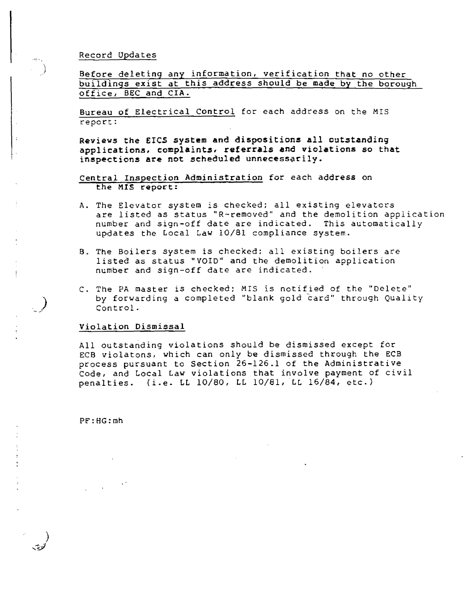## Record Updates

Before deleting any information, verification that no other buildings exist at this address should be made by the borough office, BEC and CIA.

Bureau of Electrical Control for each address on the MIS report:

**Reviews the EICS system and dispositions all outstanding applications, complaints. referrals and violations so that inspections are not scheduled unnecessarily.** 

**Central Inspection Administration** for each address on the MIS report:

- A. The Elevator system is checked; all existing elevators are listed as status "R-removed" and the demolition application number and sign-off date are indicated. This automatically updates the Local Law 10/81 compliance system.
- B. The Boilers system is checked; all existing boilers are listed as status "VOID" and the demolition application number and sign-off date are indicated.
- C. The PA master is checked; MIS is notified of the "Delete" by forwarding a completed "blank gold card" through Quality Control.

## **Violation Dismissal**

All outstanding violations should be dismissed except for ECB violatons, which can only be dismissed through the ECB process pursuant to Section 26-126.1 of the Administrative Code, and Local Law violations that involve payment of civil penalties.  $(i.e. L10/80, LL10/81, LL16/84, etc.)$ 

PE:HG:mh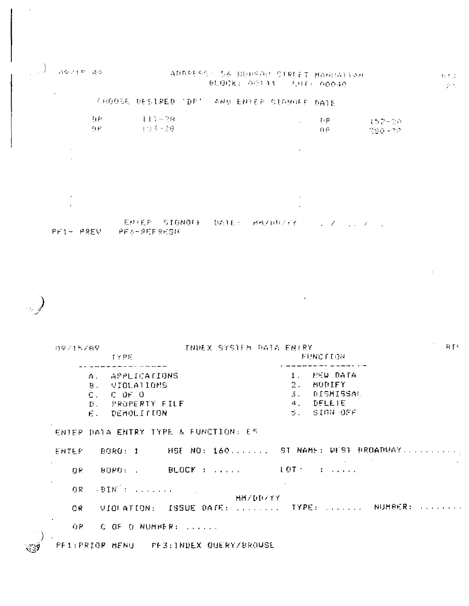$(1.197147, 0.01)$ ADDRESS S& BUDSON STREET MAGHALLAR BLOCK: 00144 - LOT: 00040. CHOOSE DESIRED 'DR' AND ENTER SIGNORE DATE  $117 - 29$ 百秋  $f(\mathbf{p})$ 152-28 **百官** 计设备问题 ាម្រ 280-22

ENTER SIGNOFF DATE: MMZDUZEK しょうろう コンドストーム

PF1- PREV PF6-REFRESH

RTC 09/15/89 THREX SYSTEM RATA ENIRY **FUNCE LON TYPE** للدارين والمرتبين ويتمارك والمتوازنين المرابط وليانهم بالأرادة بتماريك فلأ **APPLICATIONS** NEW DATA  $\Delta$  .  $1$  . MODIFY VIOLATIONS  $2.$ **B**. DISMISSAL  $C$   $DF$   $O$  $\mathbf{3}$ .  $C_{\infty}$ PROPERTY FILE **DELETE**  $4<sub>1</sub>$ D. SIGN OFF  $E_{\rm{H}}$ DEMOLITION  $\mathcal{L}_{\mathcal{L}}$  . ENTER DATA ENTRY TYPE & FUNCTION: ES HSE NO: 160. ...... ST NAME: UEST BROADWAY.......... ENTER: BORO: 1  $\sim$ BORD: . BLOCK : .....  $\sim 1.0$ T $\sim$   $\sim$   $\sim$   $\sim$   $\sim$   $\sim$   $\sim$ 

 $\rightarrow$  BIN  $\rightarrow$  . The second of  $0R$ MM/DD/YY UIDFATION: ISSUE DATE: ....... TYPE: ....... NUMBER: ....... OR.

ÙP. C OF O NUMBER: TWO ...

PE1:PRIOR MENU PE3:INDEX QUERY/BROUSE

**OR** 

 $\langle \mathfrak{t} \rangle$ r d  $\mathcal{G}(\mathcal{F})$